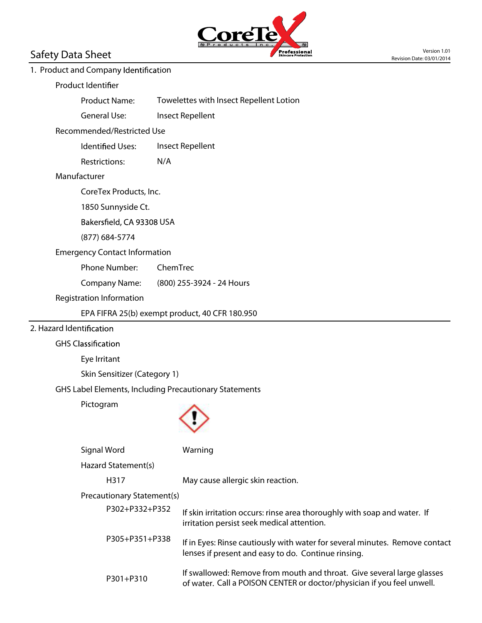

# 1. Product and Company Identification

#### **Product Identifier**

Product Name: Towelettes with Insect Repellent Lotion

General Use: Insect Repellent

#### **Recommended/Restricted Use**

Identified Uses: Insect Repellent

Restrictions: N/A

# **Manufacturer**

CoreTex Products, Inc.

1850 Sunnyside Ct.

Bakersfield, CA 93308 USA

(877) 684-5774

# **Emergency Contact Information**

Phone Number: ChemTrec

Company Name: (800) 255-3924 - 24 Hours

#### **Registration Information**

EPA FIFRA 25(b) exempt product, 40 CFR 180.950

# **2. Hazard Ident**

**GHS C**

Eye Irritant

Skin Sensitizer (Category 1)

# **GHS Label Elements, Including Precautionary Statements**

Pictogram



|                            | Signal Word         | Warning                                                                                                                                          |
|----------------------------|---------------------|--------------------------------------------------------------------------------------------------------------------------------------------------|
|                            | Hazard Statement(s) |                                                                                                                                                  |
|                            | H317                | May cause allergic skin reaction.                                                                                                                |
| Precautionary Statement(s) |                     |                                                                                                                                                  |
|                            | P302+P332+P352      | If skin irritation occurs: rinse area thoroughly with soap and water. If<br>irritation persist seek medical attention.                           |
|                            | P305+P351+P338      | If in Eyes: Rinse cautiously with water for several minutes. Remove contact<br>lenses if present and easy to do. Continue rinsing.               |
|                            | $P301 + P310$       | If swallowed: Remove from mouth and throat. Give several large glasses<br>of water. Call a POISON CENTER or doctor/physician if you feel unwell. |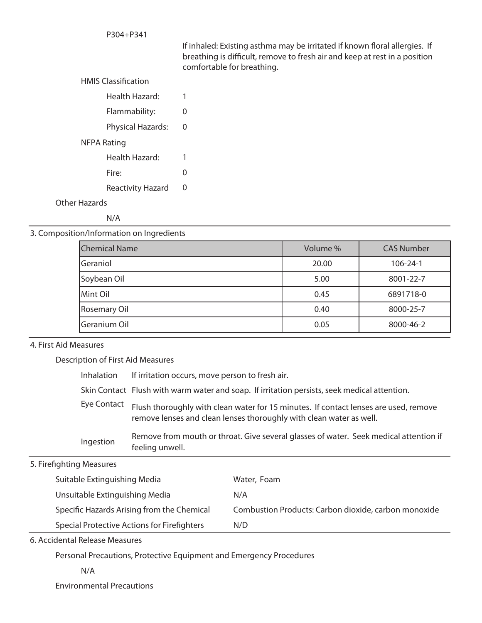#### P304+P341

If inhaled: Existing asthma may be irritated if known floral allergies. If breathing is difficult, remove to fresh air and keep at rest in a position comfortable for breathing.

# **HMIS Classification**

| Health Hazard:           |   |
|--------------------------|---|
| Flammability:            | 0 |
| Physical Hazards:        | 0 |
| NFPA Rating              |   |
| Health Hazard:           | 1 |
| Fire:                    | 0 |
| <b>Reactivity Hazard</b> | 0 |
| Other Hazards            |   |

N/A

#### **3. Composition/Information on Ingredients**

| <b>Chemical Name</b>  | Volume % | <b>CAS Number</b> |
|-----------------------|----------|-------------------|
| lGeraniol             | 20.00    | $106 - 24 - 1$    |
| Soybean Oil           | 5.00     | 8001-22-7         |
| Mint Oil              | 0.45     | 6891718-0         |
| <b>Rosemary Oil</b>   | 0.40     | 8000-25-7         |
| <b>I</b> Geranium Oil | 0.05     | 8000-46-2         |

## **4. First Aid Measures**

**Description of First Aid Measures**

| <b>Inhalation</b> | If irritation occurs, move person to fresh air.                                                                                                             |
|-------------------|-------------------------------------------------------------------------------------------------------------------------------------------------------------|
|                   | Skin Contact Flush with warm water and soap. If irritation persists, seek medical attention.                                                                |
| Eye Contact       | Flush thoroughly with clean water for 15 minutes. If contact lenses are used, remove<br>remove lenses and clean lenses thoroughly with clean water as well. |
| Ingestion         | Remove from mouth or throat. Give several glasses of water. Seek medical attention if<br>feeling unwell.                                                    |

# **5. Firefighting Measures**

| Suitable Extinguishing Media                | Water, Foam                                          |
|---------------------------------------------|------------------------------------------------------|
| Unsuitable Extinguishing Media              | N/A                                                  |
| Specific Hazards Arising from the Chemical  | Combustion Products: Carbon dioxide, carbon monoxide |
| Special Protective Actions for Firefighters | N/D                                                  |

**6. Accidental Release Measures**

Personal Precautions, Protective Equipment and Emergency Procedures

N/A

Environmental Precautions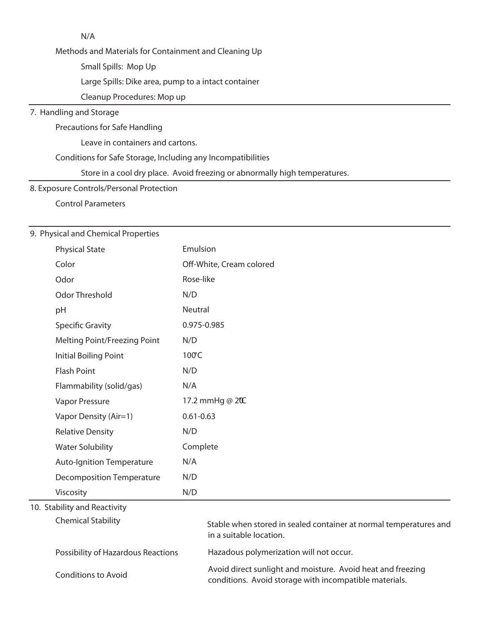| N/A                                                                        |
|----------------------------------------------------------------------------|
| Methods and Materials for Containment and Cleaning Up                      |
| Small Spills: Mop Up                                                       |
| Large Spills: Dike area, pump to a intact container                        |
| Cleanup Procedures: Mop up                                                 |
| 7. Handling and Storage                                                    |
| Precautions for Safe Handling                                              |
| Leave in containers and cartons.                                           |
| Conditions for Safe Storage, Including any Incompatibilities               |
| Store in a cool dry place. Avoid freezing or abnormally high temperatures. |
| 8. Exposure Controls/Personal Protection                                   |

Control Parameters

# **9. Physical and Chemical Properties**

| <b>Physical State</b>              | Emulsion                                                                                                              |
|------------------------------------|-----------------------------------------------------------------------------------------------------------------------|
| Color                              | Off-White, Cream colored                                                                                              |
| Odor                               | Rose-like                                                                                                             |
| <b>Odor Threshold</b>              | N/D                                                                                                                   |
| pH                                 | <b>Neutral</b>                                                                                                        |
| <b>Specific Gravity</b>            | 0.975-0.985                                                                                                           |
| Melting Point/Freezing Point       | N/D                                                                                                                   |
| <b>Initial Boiling Point</b>       | 100°C                                                                                                                 |
| <b>Flash Point</b>                 | N/D                                                                                                                   |
| Flammability (solid/gas)           | N/A                                                                                                                   |
| Vapor Pressure                     | 17.2 mmHg @ 20C                                                                                                       |
| Vapor Density (Air=1)              | $0.61 - 0.63$                                                                                                         |
| <b>Relative Density</b>            | N/D                                                                                                                   |
| <b>Water Solubility</b>            | Complete                                                                                                              |
| <b>Auto-Ignition Temperature</b>   | N/A                                                                                                                   |
| <b>Decomposition Temperature</b>   | N/D                                                                                                                   |
| Viscosity                          | N/D                                                                                                                   |
| 10. Stability and Reactivity       |                                                                                                                       |
| <b>Chemical Stability</b>          | Stable when stored in sealed container at normal temperatures and<br>in a suitable location.                          |
| Possibility of Hazardous Reactions | Hazadous polymerization will not occur.                                                                               |
| <b>Conditions to Avoid</b>         | Avoid direct sunlight and moisture. Avoid heat and freezing<br>conditions. Avoid storage with incompatible materials. |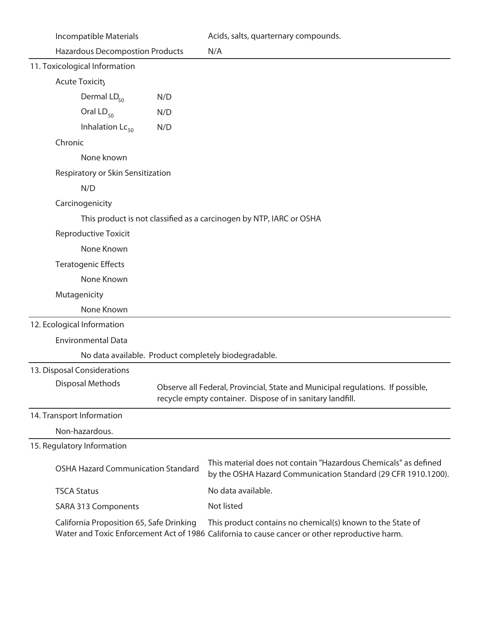| Incompatible Materials                                              | Acids, salts, quarternary compounds.                                                                                                        |
|---------------------------------------------------------------------|---------------------------------------------------------------------------------------------------------------------------------------------|
| <b>Hazardous Decompostion Products</b>                              | N/A                                                                                                                                         |
| 11. Toxicological Information                                       |                                                                                                                                             |
| <b>Acute Toxicity</b>                                               |                                                                                                                                             |
| Dermal LD <sub>50</sub><br>N/D                                      |                                                                                                                                             |
| Oral $LD_{50}$<br>N/D                                               |                                                                                                                                             |
| Inhalation $Lc_{50}$<br>N/D                                         |                                                                                                                                             |
| Chronic                                                             |                                                                                                                                             |
| None known                                                          |                                                                                                                                             |
| Respiratory or Skin Sensitization                                   |                                                                                                                                             |
| N/D                                                                 |                                                                                                                                             |
| Carcinogenicity                                                     |                                                                                                                                             |
| This product is not classified as a carcinogen by NTP, IARC or OSHA |                                                                                                                                             |
| <b>Reproductive Toxicit</b>                                         |                                                                                                                                             |
| None Known                                                          |                                                                                                                                             |
| <b>Teratogenic Effects</b>                                          |                                                                                                                                             |
| None Known                                                          |                                                                                                                                             |
| Mutagenicity                                                        |                                                                                                                                             |
| None Known                                                          |                                                                                                                                             |
| 12. Ecological Information                                          |                                                                                                                                             |
| <b>Environmental Data</b>                                           |                                                                                                                                             |
| No data available. Product completely biodegradable.                |                                                                                                                                             |
| 13. Disposal Considerations                                         |                                                                                                                                             |
| <b>Disposal Methods</b>                                             | Observe all Federal, Provincial, State and Municipal regulations. If possible,<br>recycle empty container. Dispose of in sanitary landfill. |
| 14. Transport Information                                           |                                                                                                                                             |
| Non-hazardous.                                                      |                                                                                                                                             |
| 15. Regulatory Information                                          |                                                                                                                                             |
| <b>OSHA Hazard Communication Standard</b>                           | This material does not contain "Hazardous Chemicals" as defined<br>by the OSHA Hazard Communication Standard (29 CFR 1910.1200).            |
| <b>TSCA Status</b>                                                  | No data available.                                                                                                                          |
| <b>SARA 313 Components</b>                                          | Not listed                                                                                                                                  |
| California Proposition 65, Safe Drinking                            | This product contains no chemical(s) known to the State of                                                                                  |

Water and Toxic Enforcement Act of 1986 California to cause cancer or other reproductive harm.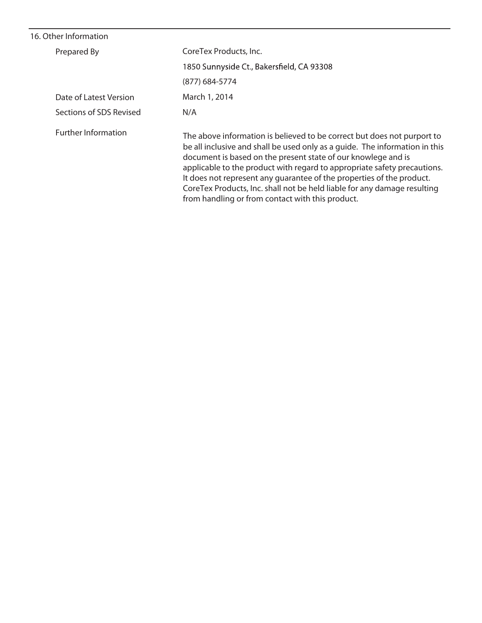# **16. Other Information**

| Prepared By                | CoreTex Products, Inc.                                                                                                                                                                                                                                                                                                                                                                                                                                                                                       |
|----------------------------|--------------------------------------------------------------------------------------------------------------------------------------------------------------------------------------------------------------------------------------------------------------------------------------------------------------------------------------------------------------------------------------------------------------------------------------------------------------------------------------------------------------|
|                            | 1850 Sunnyside Ct., Bakersfield, CA 93308                                                                                                                                                                                                                                                                                                                                                                                                                                                                    |
|                            | (877) 684-5774                                                                                                                                                                                                                                                                                                                                                                                                                                                                                               |
| Date of Latest Version     | March 1, 2014                                                                                                                                                                                                                                                                                                                                                                                                                                                                                                |
| Sections of SDS Revised    | N/A                                                                                                                                                                                                                                                                                                                                                                                                                                                                                                          |
| <b>Further Information</b> | The above information is believed to be correct but does not purport to<br>be all inclusive and shall be used only as a quide. The information in this<br>document is based on the present state of our knowlege and is<br>applicable to the product with regard to appropriate safety precautions.<br>It does not represent any quarantee of the properties of the product.<br>CoreTex Products, Inc. shall not be held liable for any damage resulting<br>from handling or from contact with this product. |